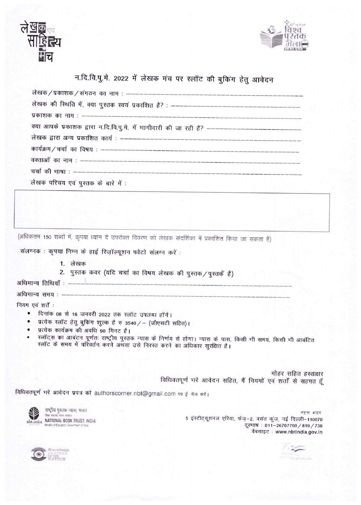



## न.दि.वि.पु.मे. 2022 में लेखक मंच पर स्लॉट की बुकिंग हेतु आवेदन

| क्या आपके प्रकाशक द्वारा न.दि.वि.पू.मे. में भागीदारी की जा रही है? ------------------------------- |
|----------------------------------------------------------------------------------------------------|
|                                                                                                    |
|                                                                                                    |
|                                                                                                    |
|                                                                                                    |
| लेखक परिचय एवं पुस्तक के बारे में :                                                                |

(अधिकतम 150 शब्दों में, कृपया ध्यान दें उपरोक्त विवरण को लेखक संदर्शिका में प्रकाशित किया जा सकता है)

संलग्नक: कृपया निम्न के हाई रिज़ॉल्यूशन फोटो संलग्न करें :

- 1. लेखक
- 2. पुस्तक कवर (यदि चर्चा का विषय लेखक की पुस्तक / पुस्तकें है)

अधिमान्य तिथियाँ : ---

अधिमान्य समय:

नियम एवं शर्तें :

- $\bullet$ दिनांक 08 से 16 जनवरी 2022 तक स्लॉट उपलब्ध होंगे।
- प्रत्येक स्लॉट हेतु बुकिंग शुल्क है रु 3540 / (जीएसटी सहित)।  $\bullet$
- प्रत्येक कार्यक्रम की अवधि 90 मिनट है।  $\bullet$
- स्लॉट्स का आबंटन पूर्णतः राष्ट्रीय पुस्तक न्यास के निर्णय से होगा। न्यास के पास, किसी भी समय, किसी भी आबंटित स्लॉट के समय में परिवर्तन करने अथवा उसे निरस्त करने का अधिकार सुरक्षित है।

मोहर सहित हस्ताक्षर विधिवतपूर्ण भरे आवेदन सहित, मैं नियमों एवं शर्तों से सहमत हूँ

विधिवतपूर्ण भरे आवेदन प्रपत्र को authorscorner.nbt@gmail.com पर ई-मेल करें।



राष्ट्रीय पुस्तक न्यास, भारत nbt.india NATIONAL BOOK TRUST, INDIA istry of Educa

नेहरू भवन 5 इंस्टीट्यूशनल एरिया, फेज़-2, वसंत कुंज, नई दिल्ली-110070 दूरभाष: 011-26707700 / 819 / 738 वेबसाइट: www.nbtindia.gov.in



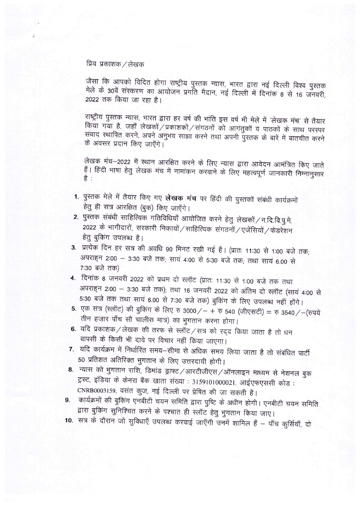## प्रिय प्रकाशक / लेखक

जैसा कि आपको विदित होगा राष्ट्रीय पुस्तक न्यास, भारत द्वारा नई दिल्ली विश्व पुस्तक मेले के 30वें संस्करण का आयोजन प्रगॉत मैदान, नई दिल्ली में दिनांक 8 से 16 जनवरी, 2022 तक किया जा रहा है।

राष्ट्रीय पुस्तक न्यास, भारत द्वारा हर वर्ष की भांति इस वर्ष भी मेले में 'लेखक मंच' से तैयार किया गया है, जहाँ लेखकों / प्रकाशकों / संगठनों को आगंतुकों व पाठकों के साथ परस्पर संवाद स्थापित करने, अपने अनुभव साझा करने तथा अपनी पुस्तक के बारे में बातचीत करने के अवसर प्रदान किए जाएँगे।

लेखक मंच-2022 में स्थान आरक्षित करने के लिए न्यास द्वारा आवेदन आमंत्रित किए जाते हैं। हिंदी भाषा हेतु लेखक मंच में नामांकन करवाने के लिए महत्वपूर्ण जानकारी निम्नानुसार है :

- 1. पुस्तक मेले में तैयार किए गए लेखक मंच पर हिंदी की पुस्तकों संबंधी कार्यक्रमों हेतु ही सत्र आरक्षित (बुक) किए जाएँगे।
- 2. पुस्तक संबंधी साहित्यिक गतिविधियाँ आयोजित करने हेतु लेखकों / न.दि.वि.पु.मे. 2022 के भागीदारों, सरकारी निकायों / साहित्यिक संगठनों / एजेंसियों / फेडरेशन हेत् बुकिंग उपलब्ध है।
- 3. प्रत्येक दिन हर सत्र की अवधि 90 मिनट रखी गई है। (प्रातः 11:30 से 1:00 बजे तक; अपराहन 2:00 – 3:30 बजे तक; सायं 4:00 से 5:30 बजे तक; तथा सायं 6.00 से 7:30 बजे तक)
- 4. दिनांक 8 जनवरी 2022 को प्रथम दो स्लॉट (प्रातः 11:30 से 1:00 बजे तक तथा अपराहन 2:00 – 3:30 बजे तक); तथा 16 जनवरी 2022 को अंतिम दो स्लॉट (सायं 4:00 से 5:30 बजे तक तथा सायं 6.00 से 7:30 बजे तक) बुकिंग के लिए उपलब्ध नहीं होंगे।
- 5. एक सत्र (स्लॉट) की बुकिंग के लिए रु 3000 / + रु 540 (जीएसटी) = रु 3540 / (रुपये तीन हज़ार पाँच सौ चालीस मात्र) का भुगतान करना होगा।
- 6. यदि प्रकाशक / लेखक की तरफ से स्लॉट / सत्र को रद्द किया जाता है तो धन वापसी के किसी भी दावे पर विचार नहीं किया जाएगा।
- 7. यदि कार्यक्रम में निर्धारित समय-सीमा से अधिक समय लिया जाता है तो संबंधित पार्टी 50 प्रतिशत अतिरिक्त भुगतान के लिए उत्तरदायी होगी।
- 8. न्यास को भुगतान राशि, डिमांड ड्राफ्ट /आरटीजीएस /ऑनलाइन माध्यम से नेशनल बुक ट्रस्ट, इंडिया के केनरा बैंक खाता संख्या : 3159101000021, आईएफएससी कोड : CNRB0003159, वसंत कुज, नई दिल्ली पर प्रेषित की जा सकती है।
- कार्यक्रमों की बुकिंग एनबीटी चयन समिति द्वारा पुष्टि के अधीन होगी। एनबीटी चयन समिति 9. द्वारा बुकिंग सुनिश्चित करने के पश्चात ही स्लॉट हेतु भुगतान किया जाए।
- 10. सत्र के दौरान जो सुविधाएँ उपलब्ध करवाई जाएँगी उनमें शामिल हैं पाँच कुर्सियाँ, दो